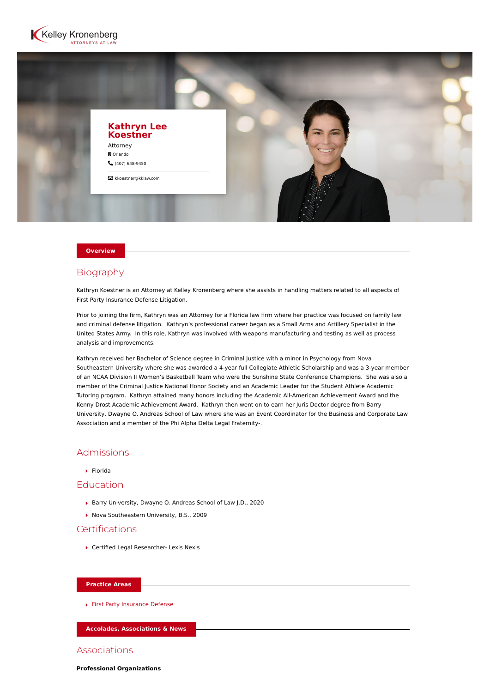



#### **Overview**

### Biography

Kathryn Koestner is an Attorney at Kelley Kronenberg where she assists in handling matters related to all aspects of First Party Insurance Defense Litigation.

Prior to joining the firm, Kathryn was an Attorney for a Florida law firm where her practice was focused on family law and criminal defense litigation. Kathryn's professional career began as a Small Arms and Artillery Specialist in the United States Army. In this role, Kathryn was involved with weapons manufacturing and testing as well as process analysis and improvements.

Kathryn received her Bachelor of Science degree in Criminal Justice with a minor in Psychology from Nova Southeastern University where she was awarded a 4-year full Collegiate Athletic Scholarship and was a 3-year member of an NCAA Division II Women's Basketball Team who were the Sunshine State Conference Champions. She was also a member of the Criminal Justice National Honor Society and an Academic Leader for the Student Athlete Academic Tutoring program. Kathryn attained many honors including the Academic All-American Achievement Award and the Kenny Drost Academic Achievement Award. Kathryn then went on to earn her Juris Doctor degree from Barry University, Dwayne O. Andreas School of Law where she was an Event Coordinator for the Business and Corporate Law Association and a member of the Phi Alpha Delta Legal Fraternity-.

### Admissions

Florida

# Education

- ▶ Barry University, Dwayne O. Andreas School of Law J.D., 2020
- ▶ Nova Southeastern University, B.S., 2009

# Certifications

▶ Certified Legal Researcher- Lexis Nexis

#### **Practice Areas**

[First Party Insurance Defense](https://www.kelleykronenberg.com/our-practices/first-party-insurance-defense-coverage-bad-faith/)

**Accolades, Associations & News**

#### Associations

**Professional Organizations**